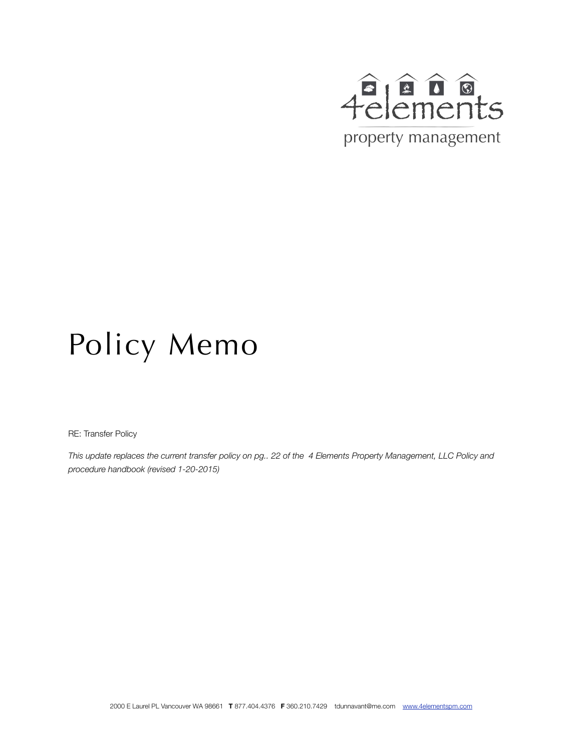

## Policy Memo

RE: Transfer Policy

*This update replaces the current transfer policy on pg.. 22 of the 4 Elements Property Management, LLC Policy and procedure handbook (revised 1-20-2015)*